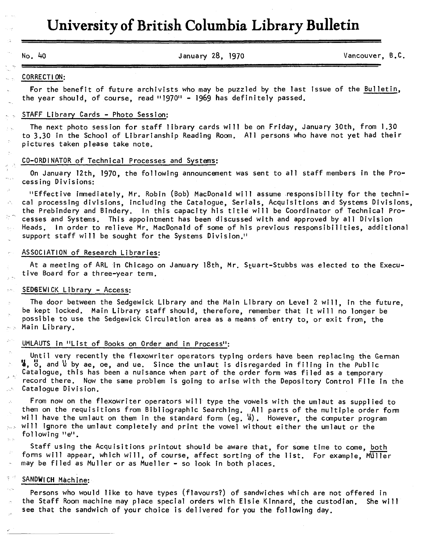# **University of British Columbia Library Bulletin**

**No. 40 January 28, 1970 Vancouver, B.C.** 

### **CORRECTION:**

**For the benefit of future archivists who may be puzzled by the last issue of the Builetin, the year should, of course, read "1970" - 1969 has definitely passed.** 

# **STAFF Library Cards - Photo Session:**

**The next photo session for staff library cards will be on Friday, January 30th, from 1.30 to 3.30 in the School of Librarianship Reading Room. All persons who have not yet had their pictures taken please take note.** 

### **C0-0RDINAT0R of Technical Processes and Systems:**

**On January 12th, 1970, the following announcement was sent to all staff members in the Processing Divisions:** 

**"Effective immediately, Mr. Robin (Bob) MacDonald will assume responsibility for the technical processing divisions, including the Catalogue, Serials, Acquisitions and Systems Divisions, the Prebindery and Bindery. In this capacity his title will be Coordinator of Technical Processes and Systems. This appointment has been discussed with and approved by all Division Heads. In order to relieve Mr. MacDonald of some of his previous responsibilities, additional support staff will be sought for the Systems Division."** 

# **ASSOCIATION of Research Libraries:**

At a meeting of ARL in Chicago on January 18th, Mr. Stuart-Stubbs was elected to the Execu**tive Board for a three-year term.** 

# **SEDGEWICK Library - Access:**

**The door between the Sedgewick Library and the Main Library on Level 2 will, in the future, be kept locked. Main Library staff should, therefore, remember that it will no longer be possible to use the Sedgewick Circulation area as a means of entry to, or exit from, the Main Library.** 

# **UMLAUTS in "List of Books on Order and in Process":**

**Until very recently the flexowriter operators typing orders have been replacing the German**   $\mathbf{I}$ ,  $\mathbf{B}$ , and  $\mathbf{U}$  by ae, oe, and ue. Since the umlaut is disregarded in filing in the Public **Catalogue, this has been a nuisance when part of the order form was filed as a temporary record there. Now the same problem is going to arise with the Depository Control File in the Catalogue Division.** 

**From now on the flexowriter operators will type the vowels with the umlaut as supplied to them on the requisitions from Bibliographic Searching. All parts of the multiple order form will have the umlaut on them in the standard form (eg. 'a<sup>1</sup>). However, the computer program will ignore the umlaut completely and print the vowel without either the umlaut or the following "e".** 

**Staff using the Acquisitions printout should be aware that, for some time to come, both forms will appear, which will, of course, affect sorting of the list. For example, MUller may be filed as Muller or as Mueller - so look in both places.** 

# **SANDWICH Machine:**

**Persons who would like to have types (flavours?) of sandwiches which are not offered in the Staff Room machine may place special orders with Elsie Kinnard, the custodian. She will see that the sandwich of your choice is delivered for you the following day.**